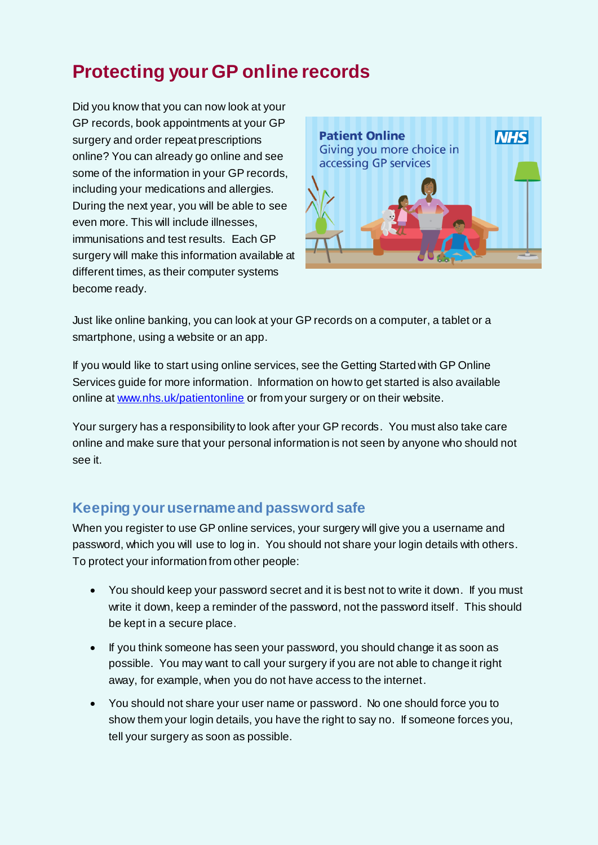# **Protecting your GP online records**

Did you know that you can now look at your GP records, book appointments at your GP surgery and order repeat prescriptions online? You can already go online and see some of the information in your GP records, including your medications and allergies. During the next year, you will be able to see even more. This will include illnesses, immunisations and test results. Each GP surgery will make this information available at different times, as their computer systems become ready.



Just like online banking, you can look at your GP records on a computer, a tablet or a smartphone, using a website or an app.

If you would like to start using online services, see the Getting Started with GP Online Services guide for more information. Information on how to get started is also available online a[t www.nhs.uk/patientonline](http://www.nhs.uk/patientonline) or from your surgery or on their website.

Your surgery has a responsibility to look after your GP records. You must also take care online and make sure that your personal information is not seen by anyone who should not see it.

## **Keeping your username and password safe**

When you register to use GP online services, your surgery will give you a username and password, which you will use to log in. You should not share your login details with others. To protect your information from other people:

- You should keep your password secret and it is best not to write it down. If you must write it down, keep a reminder of the password, not the password itself. This should be kept in a secure place.
- If you think someone has seen your password, you should change it as soon as possible. You may want to call your surgery if you are not able to change it right away, for example, when you do not have access to the internet.
- You should not share your user name or password. No one should force you to show them your login details, you have the right to say no. If someone forces you, tell your surgery as soon as possible.